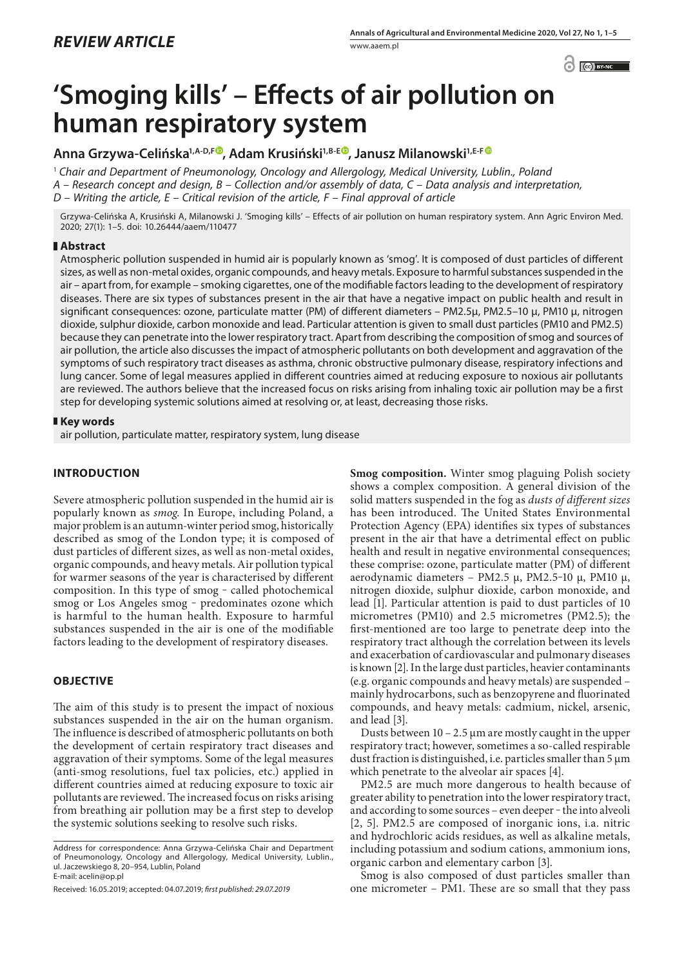$\odot$   $\odot$  BY-NC

# **'Smoging kills' – Effects of air pollution on human respiratory system**

**Anna Grzywa-Celińska1,A-D,F , Adam Krusiński1,B-E , Janusz Milanowski1,E-[F](https://orcid.org/0000-0002-8616-596X)**

<sup>1</sup> *Chair and Department of Pneumonology, Oncology and Allergology, Medical University, Lublin., Poland A – Research concept and design, B – Collection and/or assembly of data, C – Data analysis and interpretation, D – Writing the article, E – Critical revision of the article, F – Final approval of article*

Grzywa-Celińska A, Krusiński A, Milanowski J. 'Smoging kills' – Effects of air pollution on human respiratory system. Ann Agric Environ Med. 2020; 27(1): 1–5. doi: 10.26444/aaem/110477

# **Abstract**

Atmospheric pollution suspended in humid air is popularly known as 'smog'. It is composed of dust particles of different sizes, as well as non-metal oxides, organic compounds, and heavy metals. Exposure to harmful substances suspended in the air – apart from, for example – smoking cigarettes, one of the modifiable factors leading to the development of respiratory diseases. There are six types of substances present in the air that have a negative impact on public health and result in significant consequences: ozone, particulate matter (PM) of different diameters – PM2.5µ, PM2.5–10 µ, PM10 µ, nitrogen dioxide, sulphur dioxide, carbon monoxide and lead. Particular attention is given to small dust particles (PM10 and PM2.5) because they can penetrate into the lower respiratory tract. Apart from describing the composition of smog and sources of air pollution, the article also discusses the impact of atmospheric pollutants on both development and aggravation of the symptoms of such respiratory tract diseases as asthma, chronic obstructive pulmonary disease, respiratory infections and lung cancer. Some of legal measures applied in different countries aimed at reducing exposure to noxious air pollutants are reviewed. The authors believe that the increased focus on risks arising from inhaling toxic air pollution may be a first step for developing systemic solutions aimed at resolving or, at least, decreasing those risks.

## **Key words**

air pollution, particulate matter, respiratory system, lung disease

# **INTRODUCTION**

Severe atmospheric pollution suspended in the humid air is popularly known as *smog*. In Europe, including Poland, a major problem is an autumn-winter period smog, historically described as smog of the London type; it is composed of dust particles of different sizes, as well as non-metal oxides, organic compounds, and heavy metals. Air pollution typical for warmer seasons of the year is characterised by different composition. In this type of smog - called photochemical smog or Los Angeles smog - predominates ozone which is harmful to the human health. Exposure to harmful substances suspended in the air is one of the modifiable factors leading to the development of respiratory diseases.

# **OBJECTIVE**

The aim of this study is to present the impact of noxious substances suspended in the air on the human organism. The influence is described of atmospheric pollutants on both the development of certain respiratory tract diseases and aggravation of their symptoms. Some of the legal measures (anti-smog resolutions, fuel tax policies, etc.) applied in different countries aimed at reducing exposure to toxic air pollutants are reviewed. The increased focus on risks arising from breathing air pollution may be a first step to develop the systemic solutions seeking to resolve such risks.

**Smog composition.** Winter smog plaguing Polish society shows a complex composition. A general division of the solid matters suspended in the fog as *dusts of different sizes* has been introduced. The United States Environmental Protection Agency (EPA) identifies six types of substances present in the air that have a detrimental effect on public health and result in negative environmental consequences; these comprise: ozone, particulate matter (PM) of different aerodynamic diameters – PM2.5  $\mu$ , PM2.5-10  $\mu$ , PM10  $\mu$ , nitrogen dioxide, sulphur dioxide, carbon monoxide, and lead [1]. Particular attention is paid to dust particles of 10 micrometres (PM10) and 2.5 micrometres (PM2.5); the first-mentioned are too large to penetrate deep into the respiratory tract although the correlation between its levels and exacerbation of cardiovascular and pulmonary diseases is known [2]. In the large dust particles, heavier contaminants (e.g. organic compounds and heavy metals) are suspended – mainly hydrocarbons, such as benzopyrene and fluorinated compounds, and heavy metals: cadmium, nickel, arsenic, and lead [3].

Dusts between 10 – 2.5 µm are mostly caught in the upper respiratory tract; however, sometimes a so-called respirable dust fraction is distinguished, i.e. particles smaller than 5 µm which penetrate to the alveolar air spaces [4].

PM2.5 are much more dangerous to health because of greater ability to penetration into the lower respiratory tract, and according to some sources - even deeper - the into alveoli [2, 5]. PM2.5 are composed of inorganic ions, i.a. nitric and hydrochloric acids residues, as well as alkaline metals, including potassium and sodium cations, ammonium ions, organic carbon and elementary carbon [3].

Smog is also composed of dust particles smaller than one micrometer – PM1. These are so small that they pass

Address for correspondence: Anna Grzywa-Celińska Chair and Department of Pneumonology, Oncology and Allergology, Medical University, Lublin., ul. Jaczewskiego 8, 20–954, Lublin, Poland E-mail: acelin@op.pl

Received: 16.05.2019; accepted: 04.07.2019; *first published: 29.07.2019*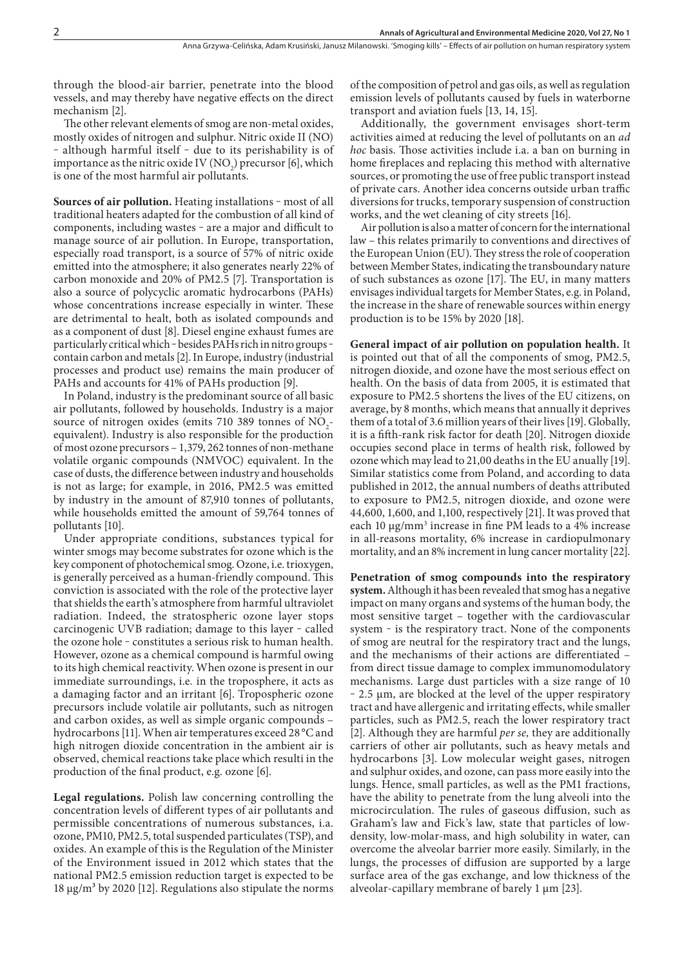through the blood-air barrier, penetrate into the blood vessels, and may thereby have negative effects on the direct mechanism [2].

The other relevant elements of smog are non-metal oxides, mostly oxides of nitrogen and sulphur. Nitric oxide II (NO) - although harmful itself - due to its perishability is of importance as the nitric oxide IV  $(NO<sub>2</sub>)$  precursor [6], which is one of the most harmful air pollutants.

**Sources of air pollution.** Heating installations - most of all traditional heaters adapted for the combustion of all kind of components, including wastes ‒ are a major and difficult to manage source of air pollution. In Europe, transportation, especially road transport, is a source of 57% of nitric oxide emitted into the atmosphere; it also generates nearly 22% of carbon monoxide and 20% of PM2.5 [7]. Transportation is also a source of polycyclic aromatic hydrocarbons (PAHs) whose concentrations increase especially in winter. These are detrimental to healt, both as isolated compounds and as a component of dust [8]. Diesel engine exhaust fumes are particularly critical which - besides PAHs rich in nitro groups contain carbon and metals [2]. In Europe, industry (industrial processes and product use) remains the main producer of PAHs and accounts for 41% of PAHs production [9].

In Poland, industry is the predominant source of all basic air pollutants, followed by households. Industry is a major source of nitrogen oxides (emits 710 389 tonnes of  $NO_2$ equivalent). Industry is also responsible for the production of most ozone precursors – 1,379, 262 tonnes of non-methane volatile organic compounds (NMVOC) equivalent. In the case of dusts, the difference between industry and households is not as large; for example, in 2016, PM2.5 was emitted by industry in the amount of 87,910 tonnes of pollutants, while households emitted the amount of 59,764 tonnes of pollutants [10].

Under appropriate conditions, substances typical for winter smogs may become substrates for ozone which is the key component of photochemical smog. Ozone, i.e. trioxygen, is generally perceived as a human-friendly compound. This conviction is associated with the role of the protective layer that shields the earth's atmosphere from harmful ultraviolet radiation. Indeed, the stratospheric ozone layer stops carcinogenic UVB radiation; damage to this layer - called the ozone hole – constitutes a serious risk to human health. However, ozone as a chemical compound is harmful owing to its high chemical reactivity. When ozone is present in our immediate surroundings, i.e*.* in the troposphere, it acts as a damaging factor and an irritant [6]. Tropospheric ozone precursors include volatile air pollutants, such as nitrogen and carbon oxides, as well as simple organic compounds – hydrocarbons [11]. When air temperatures exceed 28 °C and high nitrogen dioxide concentration in the ambient air is observed, chemical reactions take place which resulti in the production of the final product, e.g. ozone [6].

**Legal regulations.** Polish law concerning controlling the concentration levels of different types of air pollutants and permissible concentrations of numerous substances, i.a. ozone, PM10, PM2.5, total suspended particulates (TSP), and oxides. An example of this is the Regulation of the Minister of the Environment issued in 2012 which states that the national PM2.5 emission reduction target is expected to be 18 μg/m<sup>3</sup> by 2020 [12]. Regulations also stipulate the norms

of the composition of petrol and gas oils, as well as regulation emission levels of pollutants caused by fuels in waterborne transport and aviation fuels [13, 14, 15].

Additionally, the government envisages short-term activities aimed at reducing the level of pollutants on an *ad hoc* basis. Those activities include i.a. a ban on burning in home fireplaces and replacing this method with alternative sources, or promoting the use of free public transport instead of private cars. Another idea concerns outside urban traffic diversions for trucks, temporary suspension of construction works, and the wet cleaning of city streets [16].

Air pollution is also a matter of concern for the international law – this relates primarily to conventions and directives of the European Union (EU). They stress the role of cooperation between Member States, indicating the transboundary nature of such substances as ozone [17]. The EU, in many matters envisages individual targets for Member States, e.g. in Poland, the increase in the share of renewable sources within energy production is to be 15% by 2020 [18].

**General impact of air pollution on population health.** It is pointed out that of all the components of smog, PM2.5, nitrogen dioxide, and ozone have the most serious effect on health. On the basis of data from 2005, it is estimated that exposure to PM2.5 shortens the lives of the EU citizens, on average, by 8 months, which means that annually it deprives them of a total of 3.6 million years of their lives [19]. Globally, it is a fifth-rank risk factor for death [20]. Nitrogen dioxide occupies second place in terms of health risk, followed by ozone which may lead to 21,00 deaths in the EU anually [19]. Similar statistics come from Poland, and according to data published in 2012, the annual numbers of deaths attributed to exposure to PM2.5, nitrogen dioxide, and ozone were 44,600, 1,600, and 1,100, respectively [21]. It was proved that each 10 μg/mm<sup>3</sup> increase in fine PM leads to a 4% increase in all-reasons mortality, 6% increase in cardiopulmonary mortality, and an 8% increment in lung cancer mortality [22].

**Penetration of smog compounds into the respiratory system.** Although it has been revealed that smog has a negative impact on many organs and systems of the human body, the most sensitive target – together with the cardiovascular system - is the respiratory tract. None of the components of smog are neutral for the respiratory tract and the lungs, and the mechanisms of their actions are differentiated – from direct tissue damage to complex immunomodulatory mechanisms. Large dust particles with a size range of 10 ‒ 2.5 µm, are blocked at the level of the upper respiratory tract and have allergenic and irritating effects, while smaller particles, such as PM2.5, reach the lower respiratory tract [2]. Although they are harmful *per se,* they are additionally carriers of other air pollutants, such as heavy metals and hydrocarbons [3]. Low molecular weight gases, nitrogen and sulphur oxides, and ozone, can pass more easily into the lungs. Hence, small particles, as well as the PM1 fractions, have the ability to penetrate from the lung alveoli into the microcirculation. The rules of gaseous diffusion, such as Graham's law and Fick's law, state that particles of lowdensity, low-molar-mass, and high solubility in water, can overcome the alveolar barrier more easily. Similarly, in the lungs, the processes of diffusion are supported by a large surface area of the gas exchange, and low thickness of the alveolar-capillary membrane of barely 1  $\mu$ m [23].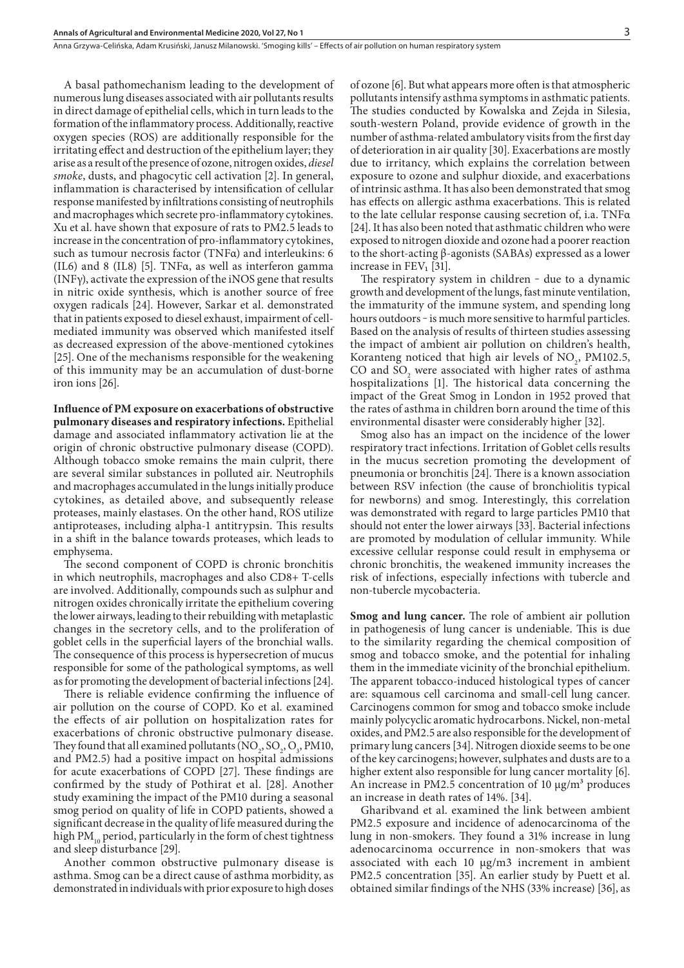Anna Grzywa-Celińska, Adam Krusiński, Janusz Milanowski . 'Smoging kills' – Effects of air pollution on human respiratory system

A basal pathomechanism leading to the development of numerous lung diseases associated with air pollutants results in direct damage of epithelial cells, which in turn leads to the formation of the inflammatory process. Additionally, reactive oxygen species (ROS) are additionally responsible for the irritating effect and destruction of the epithelium layer; they arise as a result of the presence of ozone, nitrogen oxides, *diesel smoke*, dusts, and phagocytic cell activation [2]. In general, inflammation is characterised by intensification of cellular response manifested by infiltrations consisting of neutrophils and macrophages which secrete pro-inflammatory cytokines. Xu et al. have shown that exposure of rats to PM2.5 leads to increase in the concentration of pro-inflammatory cytokines, such as tumour necrosis factor (TNFα) and interleukins: 6 (IL6) and 8 (IL8) [5]. TNFα, as well as interferon gamma (INFγ), activate the expression of the iNOS gene that results in nitric oxide synthesis, which is another source of free oxygen radicals [24]. However, Sarkar et al. demonstrated that in patients exposed to diesel exhaust, impairment of cellmediated immunity was observed which manifested itself as decreased expression of the above-mentioned cytokines [25]. One of the mechanisms responsible for the weakening of this immunity may be an accumulation of dust-borne iron ions [26].

**Influence of PM exposure on exacerbations of obstructive pulmonary diseases and respiratory infections.** Epithelial damage and associated inflammatory activation lie at the origin of chronic obstructive pulmonary disease (COPD). Although tobacco smoke remains the main culprit, there are several similar substances in polluted air. Neutrophils and macrophages accumulated in the lungs initially produce cytokines, as detailed above, and subsequently release proteases, mainly elastases. On the other hand, ROS utilize antiproteases, including alpha-1 antitrypsin. This results in a shift in the balance towards proteases, which leads to emphysema.

The second component of COPD is chronic bronchitis in which neutrophils, macrophages and also CD8+ T-cells are involved. Additionally, compounds such as sulphur and nitrogen oxides chronically irritate the epithelium covering the lower airways, leading to their rebuilding with metaplastic changes in the secretory cells, and to the proliferation of goblet cells in the superficial layers of the bronchial walls. The consequence of this process is hypersecretion of mucus responsible for some of the pathological symptoms, as well as for promoting the development of bacterial infections [24].

There is reliable evidence confirming the influence of air pollution on the course of COPD. Ko et al. examined the effects of air pollution on hospitalization rates for exacerbations of chronic obstructive pulmonary disease. They found that all examined pollutants  $(NO<sub>2</sub>, SO<sub>2</sub>, O<sub>3</sub>, PM10,$ and PM2.5) had a positive impact on hospital admissions for acute exacerbations of COPD [27]. These findings are confirmed by the study of Pothirat et al. [28]. Another study examining the impact of the PM10 during a seasonal smog period on quality of life in COPD patients, showed a significant decrease in the quality of life measured during the high PM $_{10}$  period, particularly in the form of chest tightness and sleep disturbance [29].

Another common obstructive pulmonary disease is asthma. Smog can be a direct cause of asthma morbidity, as demonstrated in individuals with prior exposure to high doses of ozone [6]. But what appears more often is that atmospheric pollutants intensify asthma symptoms in asthmatic patients. The studies conducted by Kowalska and Zejda in Silesia, south-western Poland, provide evidence of growth in the number of asthma-related ambulatory visits from the first day of deterioration in air quality [30]. Exacerbations are mostly due to irritancy, which explains the correlation between exposure to ozone and sulphur dioxide, and exacerbations of intrinsic asthma. It has also been demonstrated that smog has effects on allergic asthma exacerbations. This is related to the late cellular response causing secretion of, i.a. TNFα [24]. It has also been noted that asthmatic children who were exposed to nitrogen dioxide and ozone had a poorer reaction to the short-acting β-agonists (SABAs) expressed as a lower increase in FEV₁ [31].

The respiratory system in children  $-$  due to a dynamic growth and development of the lungs, fast minute ventilation, the immaturity of the immune system, and spending long hours outdoors - is much more sensitive to harmful particles. Based on the analysis of results of thirteen studies assessing the impact of ambient air pollution on children's health, Koranteng noticed that high air levels of  $NO<sub>2</sub>$ , PM102.5, CO and  $SO_2$  were associated with higher rates of asthma hospitalizations [1]. The historical data concerning the impact of the Great Smog in London in 1952 proved that the rates of asthma in children born around the time of this environmental disaster were considerably higher [32].

Smog also has an impact on the incidence of the lower respiratory tract infections. Irritation of Goblet cells results in the mucus secretion promoting the development of pneumonia or bronchitis [24]. There is a known association between RSV infection (the cause of bronchiolitis typical for newborns) and smog. Interestingly, this correlation was demonstrated with regard to large particles PM10 that should not enter the lower airways [33]. Bacterial infections are promoted by modulation of cellular immunity. While excessive cellular response could result in emphysema or chronic bronchitis, the weakened immunity increases the risk of infections, especially infections with tubercle and non-tubercle mycobacteria.

**Smog and lung cancer.** The role of ambient air pollution in pathogenesis of lung cancer is undeniable. This is due to the similarity regarding the chemical composition of smog and tobacco smoke, and the potential for inhaling them in the immediate vicinity of the bronchial epithelium. The apparent tobacco-induced histological types of cancer are: squamous cell carcinoma and small-cell lung cancer. Carcinogens common for smog and tobacco smoke include mainly polycyclic aromatic hydrocarbons. Nickel, non-metal oxides, and PM2.5 are also responsible for the development of primary lung cancers [34]. Nitrogen dioxide seems to be one of the key carcinogens; however, sulphates and dusts are to a higher extent also responsible for lung cancer mortality [6]. An increase in PM2.5 concentration of 10  $\mu$ g/m<sup>3</sup> produces an increase in death rates of 14%. [34].

Gharibvand et al. examined the link between ambient PM2.5 exposure and incidence of adenocarcinoma of the lung in non-smokers. They found a 31% increase in lung adenocarcinoma occurrence in non-smokers that was associated with each 10 μg/m3 increment in ambient PM2.5 concentration [35]. An earlier study by Puett et al. obtained similar findings of the NHS (33% increase) [36], as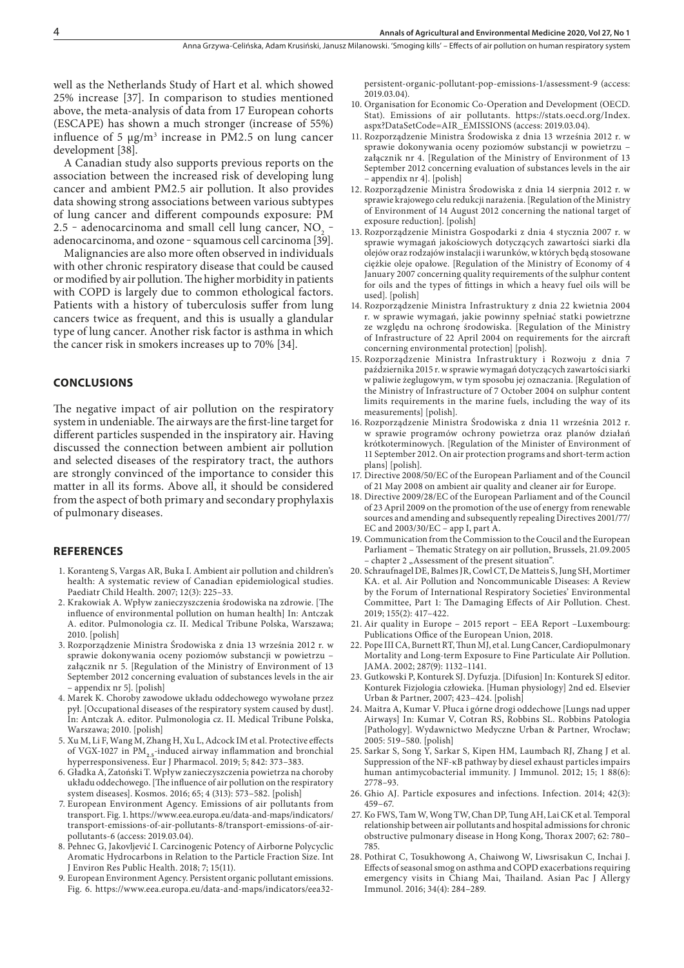well as the Netherlands Study of Hart et al. which showed 25% increase [37]. In comparison to studies mentioned above, the meta-analysis of data from 17 European cohorts (ESCAPE) has shown a much stronger (increase of 55%) influence of 5  $\mu$ g/m<sup>3</sup> increase in PM2.5 on lung cancer development [38].

A Canadian study also supports previous reports on the association between the increased risk of developing lung cancer and ambient PM2.5 air pollution. It also provides data showing strong associations between various subtypes of lung cancer and different compounds exposure: PM 2.5 - adenocarcinoma and small cell lung cancer,  $NQ_2$  adenocarcinoma, and ozone - squamous cell carcinoma [39].

Malignancies are also more often observed in individuals with other chronic respiratory disease that could be caused or modified by air pollution. The higher morbidity in patients with COPD is largely due to common ethological factors. Patients with a history of tuberculosis suffer from lung cancers twice as frequent, and this is usually a glandular type of lung cancer. Another risk factor is asthma in which the cancer risk in smokers increases up to 70% [34].

### **CONCLUSIONS**

The negative impact of air pollution on the respiratory system in undeniable. The airways are the first-line target for different particles suspended in the inspiratory air. Having discussed the connection between ambient air pollution and selected diseases of the respiratory tract, the authors are strongly convinced of the importance to consider this matter in all its forms. Above all, it should be considered from the aspect of both primary and secondary prophylaxis of pulmonary diseases.

### **REFERENCES**

- 1. Koranteng S, Vargas AR, Buka I. Ambient air pollution and children's health: A systematic review of Canadian epidemiological studies. Paediatr Child Health. 2007; 12(3): 225–33.
- 2. Krakowiak A. Wpływ zanieczyszczenia środowiska na zdrowie. [The influence of environmental pollution on human health] In: Antczak A. editor. Pulmonologia cz. II. Medical Tribune Polska, Warszawa; 2010. [polish]
- 3. Rozporządzenie Ministra Środowiska z dnia 13 września 2012 r. w sprawie dokonywania oceny poziomów substancji w powietrzu – załącznik nr 5. [Regulation of the Ministry of Environment of 13 September 2012 concerning evaluation of substances levels in the air – appendix nr 5]. [polish]
- 4. Marek K. Choroby zawodowe układu oddechowego wywołane przez pył. [Occupational diseases of the respiratory system caused by dust]. In: Antczak A. editor. Pulmonologia cz. II. Medical Tribune Polska, Warszawa; 2010. [polish]
- 5. [Xu M](https://www.ncbi.nlm.nih.gov/pubmed/?term=Xu M%5BAuthor%5D&cauthor=true&cauthor_uid=30419239), [Li F](https://www.ncbi.nlm.nih.gov/pubmed/?term=Li F%5BAuthor%5D&cauthor=true&cauthor_uid=30419239), [Wang M](https://www.ncbi.nlm.nih.gov/pubmed/?term=Wang M%5BAuthor%5D&cauthor=true&cauthor_uid=30419239), [Zhang H](https://www.ncbi.nlm.nih.gov/pubmed/?term=Zhang H%5BAuthor%5D&cauthor=true&cauthor_uid=30419239), [Xu L,](https://www.ncbi.nlm.nih.gov/pubmed/?term=Xu L%5BAuthor%5D&cauthor=true&cauthor_uid=30419239) [Adcock IM](https://www.ncbi.nlm.nih.gov/pubmed/?term=Adcock IM%5BAuthor%5D&cauthor=true&cauthor_uid=30419239) et al. Protective effects of VGX-1027 in PM<sub>2.5</sub>-induced airway inflammation and bronchial hyperresponsiveness. Eur J Pharmacol. 2019; 5; 842: 373–383.
- 6. Gładka A, Zatoński T. Wpływ zanieczyszczenia powietrza na choroby układu oddechowego. [The influence of air pollution on the respiratory system diseases]. Kosmos. 2016; 65; 4 (313): 573–582. [polish]
- 7. European Environment Agency. Emissions of air pollutants from transport. Fig. 1. https://www.eea.europa.eu/data-and-maps/indicators/ transport-emissions-of-air-pollutants-8/transport-emissions-of-airpollutants-6 (access: 2019.03.04).
- 8. [Pehnec G,](https://www.ncbi.nlm.nih.gov/pubmed/?term=Pehnec G%5BAuthor%5D&cauthor=true&cauthor_uid=30405070) [Jakovljević I.](https://www.ncbi.nlm.nih.gov/pubmed/?term=Jakovljevi� I%5BAuthor%5D&cauthor=true&cauthor_uid=30405070) Carcinogenic Potency of Airborne Polycyclic Aromatic Hydrocarbons in Relation to the Particle Fraction Size. [Int](https://www.ncbi.nlm.nih.gov/pubmed/30405070) [J Environ Res Public Health.](https://www.ncbi.nlm.nih.gov/pubmed/30405070) 2018; 7; 15(11).
- 9. European Environment Agency. Persistent organic pollutant emissions. Fig. 6. [https://www.eea.europa.eu/data-and-maps/indicators/eea32-](https://www.eea.europa.eu/data-and-maps/indicators/eea32-persistent-organic-pollutant-pop-emissions-1/assessment-9)

[persistent-organic-pollutant-pop-emissions-1/assessment-9](https://www.eea.europa.eu/data-and-maps/indicators/eea32-persistent-organic-pollutant-pop-emissions-1/assessment-9) (access: 2019.03.04).

- 10. Organisation for Economic Co-Operation and Development (OECD. Stat). Emissions of air pollutants. [https://stats.oecd.org/Index.](https://stats.oecd.org/Index.aspx?DataSetCode=AIR_EMISSIONS) [aspx?DataSetCode=AIR\\_EMISSIONS](https://stats.oecd.org/Index.aspx?DataSetCode=AIR_EMISSIONS) (access: 2019.03.04).
- 11. Rozporządzenie Ministra Środowiska z dnia 13 września 2012 r. w sprawie dokonywania oceny poziomów substancji w powietrzu – załącznik nr 4. [Regulation of the Ministry of Environment of 13 September 2012 concerning evaluation of substances levels in the air – appendix nr 4]. [polish]
- 12. Rozporządzenie Ministra Środowiska z dnia 14 sierpnia 2012 r. w sprawie krajowego celu redukcji narażenia. [Regulation of the Ministry of Environment of 14 August 2012 concerning the national target of exposure reduction]. [polish]
- 13. Rozporządzenie Ministra Gospodarki z dnia 4 stycznia 2007 r. w sprawie wymagań jakościowych dotyczących zawartości siarki dla olejów oraz rodzajów instalacji i warunków, w których będą stosowane ciężkie oleje opałowe. [Regulation of the Ministry of Economy of 4 January 2007 concerning quality requirements of the sulphur content for oils and the types of fittings in which a heavy fuel oils will be used]. [polish]
- 14. Rozporządzenie Ministra Infrastruktury z dnia 22 kwietnia 2004 r. w sprawie wymagań, jakie powinny spełniać statki powietrzne ze względu na ochronę środowiska. [Regulation of the Ministry of Infrastructure of 22 April 2004 on requirements for the aircraft concerning environmental protection] [polish].
- 15. Rozporządzenie Ministra Infrastruktury i Rozwoju z dnia 7 października 2015 r. w sprawie wymagań dotyczących zawartości siarki w paliwie żeglugowym, w tym sposobu jej oznaczania. [Regulation of the Ministry of Infrastructure of 7 October 2004 on sulphur content limits requirements in the marine fuels, including the way of its measurements] [polish].
- 16. Rozporządzenie Ministra Środowiska z dnia 11 września 2012 r. w sprawie programów ochrony powietrza oraz planów działań krótkoterminowych. [Regulation of the Minister of Environment of 11 September 2012. On air protection programs and short-term action plans] [polish].
- 17. Directive 2008/50/EC of the European Parliament and of the Council of 21 May 2008 on ambient air quality and cleaner air for Europe.
- 18. Directive 2009/28/EC of the European Parliament and of the Council of 23 April 2009 on the promotion of the use of energy from renewable sources and amending and subsequently repealing Directives 2001/77/ EC and 2003/30/EC – app I, part A.
- 19. Communication from the Commission to the Coucil and the European Parliament – Thematic Strategy on air pollution, Brussels, 21.09.2005 - chapter 2 "Assessment of the present situation".
- 20. Schraufnagel DE, Balmes JR, Cowl CT, De Matteis S, Jung SH, Mortimer KA. et al. Air Pollution and Noncommunicable Diseases: A Review by the Forum of International Respiratory Societies' Environmental Committee, Part 1: The Damaging Effects of Air Pollution. Chest. 2019; 155(2): 417–422.
- 21. Air quality in Europe 2015 report EEA Report –Luxembourg: Publications Office of the European Union, 2018.
- 22. Pope III CA, Burnett RT, Thun MJ, et al. Lung Cancer, Cardiopulmonary Mortality and Long-term Exposure to Fine Particulate Air Pollution. JAMA. 2002; 287(9): 1132–1141.
- 23. Gutkowski P, Konturek SJ. Dyfuzja. [Difusion] In: Konturek SJ editor. Konturek Fizjologia człowieka. [Human physiology] 2nd ed. Elsevier Urban & Partner, 2007; 423–424. [polish]
- 24. Maitra A, Kumar V. Płuca i górne drogi oddechowe [Lungs nad upper Airways] In: [Kumar V,](https://medbook.com.pl/autor/pokaz/id/5305/autor/vinay-kumar) [Cotran RS,](https://medbook.com.pl/autor/pokaz/id/9596/autor/abul-k-abbas) [Robbins](https://medbook.com.pl/autor/pokaz/id/22385/autor/jon-aster) SL. Robbins Patologia [Pathology]. Wydawnictwo Medyczne Urban & Partner, Wrocław; 2005: 519–580. [polish]
- 25. Sarkar S, Song Y, Sarkar S, Kipen HM, Laumbach RJ, Zhang J et al. Suppression of the NF-κB pathway by diesel exhaust particles impairs human antimycobacterial immunity. [J Immunol.](https://www.ncbi.nlm.nih.gov/pubmed/22345648) 2012; 15; 1 88(6): 2778–93.
- 26. [Ghio AJ.](https://www.ncbi.nlm.nih.gov/pubmed/?term=Ghio AJ%5BAuthor%5D&cauthor=true&cauthor_uid=24488331) Particle exposures and infections. Infection. 2014; 42(3): 459–67.
- 27. Ko FWS, Tam W, Wong TW, Chan DP, Tung AH, Lai CK et al. Temporal relationship between air pollutants and hospital admissions for chronic obstructive pulmonary disease in Hong Kong, Thorax 2007; 62: 780– 785.
- 28. Pothirat C, Tosukhowong A, Chaiwong W, Liwsrisakun C, Inchai J. Effects of seasonal smog on asthma and COPD exacerbations requiring emergency visits in Chiang Mai, Thailand. Asian Pac J Allergy Immunol. 2016; 34(4): 284–289.